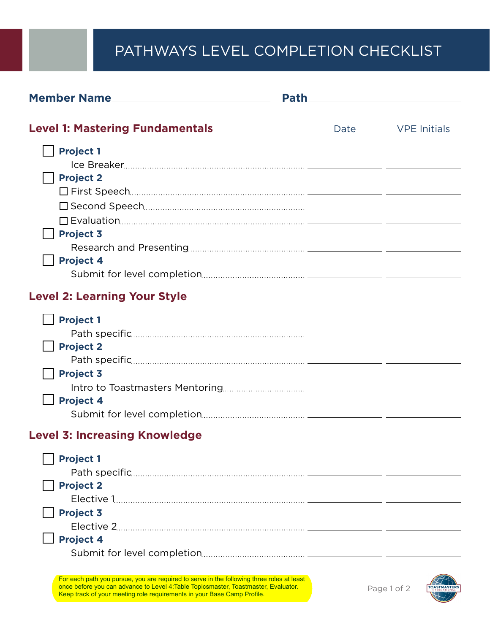## PATHWAYS LEVEL COMPLETION CHECKLIST

| Member Name                                                                                                                                                                      | <b>Path</b> |                     |
|----------------------------------------------------------------------------------------------------------------------------------------------------------------------------------|-------------|---------------------|
| <b>Level 1: Mastering Fundamentals</b>                                                                                                                                           | Date        | <b>VPE Initials</b> |
| <b>Project 1</b>                                                                                                                                                                 |             |                     |
|                                                                                                                                                                                  |             |                     |
| <b>Project 2</b>                                                                                                                                                                 |             |                     |
|                                                                                                                                                                                  |             |                     |
|                                                                                                                                                                                  |             |                     |
|                                                                                                                                                                                  |             |                     |
| <b>Project 3</b>                                                                                                                                                                 |             |                     |
|                                                                                                                                                                                  |             |                     |
| <b>Project 4</b>                                                                                                                                                                 |             |                     |
|                                                                                                                                                                                  |             |                     |
| <b>Level 2: Learning Your Style</b>                                                                                                                                              |             |                     |
| <b>Project 1</b>                                                                                                                                                                 |             |                     |
|                                                                                                                                                                                  |             |                     |
| <b>Project 2</b>                                                                                                                                                                 |             |                     |
|                                                                                                                                                                                  |             |                     |
| <b>Project 3</b>                                                                                                                                                                 |             |                     |
|                                                                                                                                                                                  |             |                     |
| <b>Project 4</b>                                                                                                                                                                 |             |                     |
|                                                                                                                                                                                  |             |                     |
| <b>Level 3: Increasing Knowledge</b>                                                                                                                                             |             |                     |
| <b>Project 1</b>                                                                                                                                                                 |             |                     |
|                                                                                                                                                                                  |             |                     |
| <b>Project 2</b>                                                                                                                                                                 |             |                     |
|                                                                                                                                                                                  |             |                     |
| <b>Project 3</b>                                                                                                                                                                 |             |                     |
|                                                                                                                                                                                  |             |                     |
| <b>Project 4</b>                                                                                                                                                                 |             |                     |
|                                                                                                                                                                                  |             |                     |
|                                                                                                                                                                                  |             |                     |
| For each path you pursue, you are required to serve in the following three roles at least<br>once before you can advance to Level 4: Table Topicsmaster, Toastmaster, Evaluator. |             | Page 1 of 2         |

Keep track of your meeting role requirements in your Base Camp Profile.

Page 1 of 2